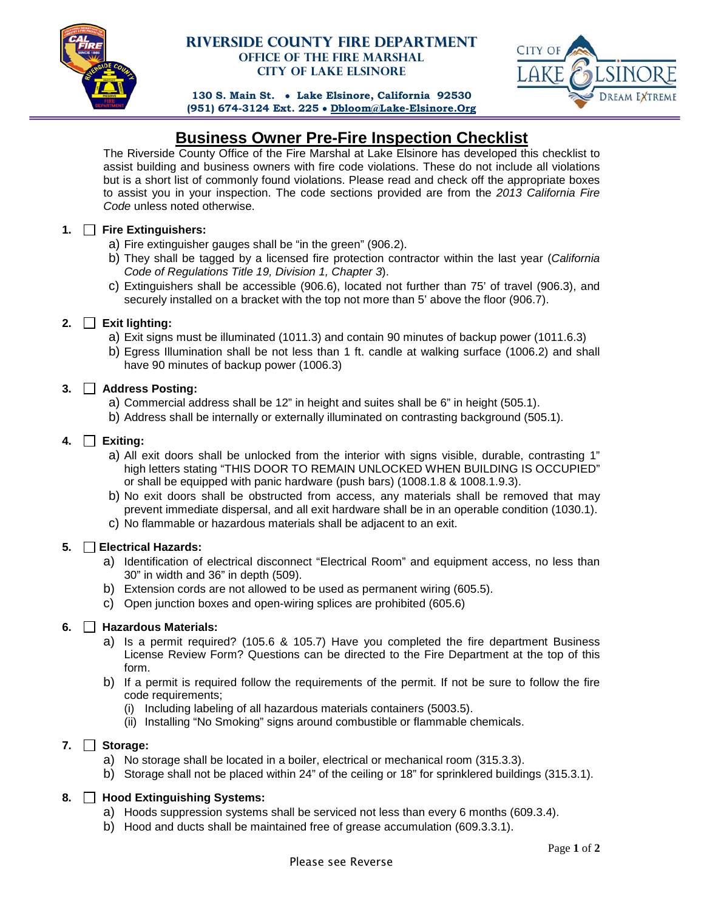

# **Riverside County Fire Department Office of the Fire Marshal City of Lake Elsinore**



**130 S. Main St.** • **Lake Elsinore, California 92530 (951) 674-3124 Ext. 225** • **[Dbloom@Lake-Elsinore.Org](mailto:Dbloom@Lake-Elsinore.Org)**

# **Business Owner Pre-Fire Inspection Checklist**

The Riverside County Office of the Fire Marshal at Lake Elsinore has developed this checklist to assist building and business owners with fire code violations. These do not include all violations but is a short list of commonly found violations. Please read and check off the appropriate boxes to assist you in your inspection. The code sections provided are from the *2013 California Fire Code* unless noted otherwise.

# **1. Fire Extinguishers:**

- a) Fire extinguisher gauges shall be "in the green" (906.2).
- b) They shall be tagged by a licensed fire protection contractor within the last year (*California Code of Regulations Title 19, Division 1, Chapter 3*).
- c) Extinguishers shall be accessible (906.6), located not further than 75' of travel (906.3), and securely installed on a bracket with the top not more than 5' above the floor (906.7).

# **2. Exit lighting:**

- a) Exit signs must be illuminated (1011.3) and contain 90 minutes of backup power (1011.6.3)
- b) Egress Illumination shall be not less than 1 ft. candle at walking surface (1006.2) and shall have 90 minutes of backup power (1006.3)

# **3. Address Posting:**

- a) Commercial address shall be 12" in height and suites shall be 6" in height (505.1).
- b) Address shall be internally or externally illuminated on contrasting background (505.1).

# **4. Exiting:**

- a) All exit doors shall be unlocked from the interior with signs visible, durable, contrasting 1" high letters stating "THIS DOOR TO REMAIN UNLOCKED WHEN BUILDING IS OCCUPIED" or shall be equipped with panic hardware (push bars) (1008.1.8 & 1008.1.9.3).
- b) No exit doors shall be obstructed from access, any materials shall be removed that may prevent immediate dispersal, and all exit hardware shall be in an operable condition (1030.1).
- c) No flammable or hazardous materials shall be adjacent to an exit.

# **5. Electrical Hazards:**

- a) Identification of electrical disconnect "Electrical Room" and equipment access, no less than 30" in width and 36" in depth (509).
- b) Extension cords are not allowed to be used as permanent wiring (605.5).
- c) Open junction boxes and open-wiring splices are prohibited (605.6)

#### **6. Hazardous Materials:**

- a) Is a permit required? (105.6 & 105.7) Have you completed the fire department Business License Review Form? Questions can be directed to the Fire Department at the top of this form.
- b) If a permit is required follow the requirements of the permit. If not be sure to follow the fire code requirements;
	- (i) Including labeling of all hazardous materials containers (5003.5).
	- (ii) Installing "No Smoking" signs around combustible or flammable chemicals.

#### **7. Storage:**

- a) No storage shall be located in a boiler, electrical or mechanical room (315.3.3).
- b) Storage shall not be placed within 24" of the ceiling or 18" for sprinklered buildings (315.3.1).

#### **8. Hood Extinguishing Systems:**

- a) Hoods suppression systems shall be serviced not less than every 6 months (609.3.4).
- b) Hood and ducts shall be maintained free of grease accumulation (609.3.3.1).